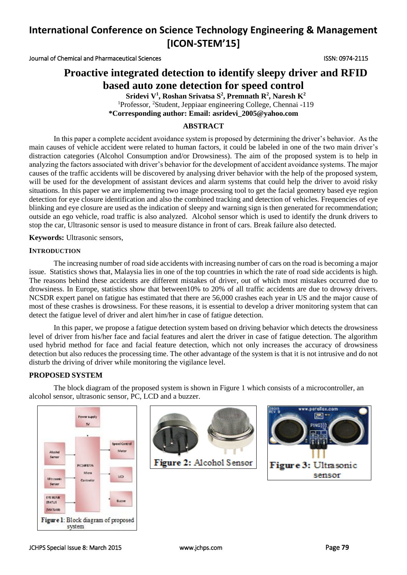Journal of Chemical and Pharmaceutical Sciences ISSN: 0974-2115

## **Proactive integrated detection to identify sleepy driver and RFID based auto zone detection for speed control**

**Sridevi V<sup>1</sup> , Roshan Srivatsa S<sup>2</sup> , Premnath R<sup>2</sup> , Naresh K<sup>2</sup>** <sup>1</sup>Professor, <sup>2</sup>Student, Jeppiaar engineering College, Chennai -119 **\*Corresponding author: Email: asridevi\_2005@yahoo.com**

### **ABSTRACT**

In this paper a complete accident avoidance system is proposed by determining the driver's behavior. As the main causes of vehicle accident were related to human factors, it could be labeled in one of the two main driver's distraction categories (Alcohol Consumption and/or Drowsiness). The aim of the proposed system is to help in analyzing the factors associated with driver's behavior for the development of accident avoidance systems. The major causes of the traffic accidents will be discovered by analysing driver behavior with the help of the proposed system, will be used for the development of assistant devices and alarm systems that could help the driver to avoid risky situations. In this paper we are implementing two image processing tool to get the facial geometry based eye region detection for eye closure identification and also the combined tracking and detection of vehicles. Frequencies of eye blinking and eye closure are used as the indication of sleepy and warning sign is then generated for recommendation; outside an ego vehicle, road traffic is also analyzed. Alcohol sensor which is used to identify the drunk drivers to stop the car, Ultrasonic sensor is used to measure distance in front of cars. Break failure also detected.

**Keywords:** Ultrasonic sensors,

#### **INTRODUCTION**

The increasing number of road side accidents with increasing number of cars on the road is becoming a major issue. Statistics shows that, Malaysia lies in one of the top countries in which the rate of road side accidents is high. The reasons behind these accidents are different mistakes of driver, out of which most mistakes occurred due to drowsiness. In Europe, statistics show that between10% to 20% of all traffic accidents are due to drowsy drivers. NCSDR expert panel on fatigue has estimated that there are 56,000 crashes each year in US and the major cause of most of these crashes is drowsiness. For these reasons, it is essential to develop a driver monitoring system that can detect the fatigue level of driver and alert him/her in case of fatigue detection.

In this paper, we propose a fatigue detection system based on driving behavior which detects the drowsiness level of driver from his/her face and facial features and alert the driver in case of fatigue detection. The algorithm used hybrid method for face and facial feature detection, which not only increases the accuracy of drowsiness detection but also reduces the processing time. The other advantage of the system is that it is not intrusive and do not disturb the driving of driver while monitoring the vigilance level.

#### **PROPOSED SYSTEM**

The block diagram of the proposed system is shown in Figure 1 which consists of a microcontroller, an alcohol sensor, ultrasonic sensor, PC, LCD and a buzzer.





Figure 2: Alcohol Sensor

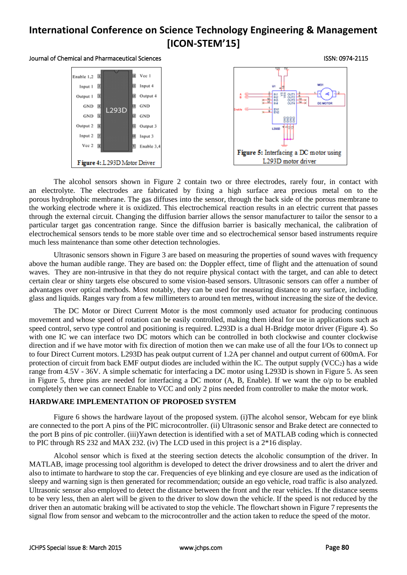#### Journal of Chemical and Pharmaceutical Sciences ISSN: 0974-2115



The alcohol sensors shown in Figure 2 contain two or three electrodes, rarely four, in contact with an electrolyte. The electrodes are fabricated by fixing a high surface area precious metal on to the porous hydrophobic membrane. The gas diffuses into the sensor, through the back side of the porous membrane to the working electrode where it is oxidized. This electrochemical reaction results in an electric current that passes through the external circuit. Changing the diffusion barrier allows the sensor manufacturer to tailor the sensor to a particular target gas concentration range. Since the diffusion barrier is basically mechanical, the calibration of electrochemical sensors tends to be more stable over time and so electrochemical sensor based instruments require much less maintenance than some other detection technologies.

Ultrasonic sensors shown in Figure 3 are based on measuring the properties of sound waves with frequency above the human audible range. They are based on: the Doppler effect, time of flight and the attenuation of sound waves. They are non-intrusive in that they do not require physical contact with the target, and can able to detect certain clear or shiny targets else obscured to some vision-based sensors. Ultrasonic sensors can offer a number of advantages over optical methods. Most notably, they can be used for measuring distance to any surface, including glass and liquids. Ranges vary from a few millimeters to around ten metres, without increasing the size of the device.

The DC Motor or Direct Current Motor is the most commonly used actuator for producing continuous movement and whose speed of rotation can be easily controlled, making them ideal for use in applications such as speed control, servo type control and positioning is required. L293D is a dual H-Bridge motor driver (Figure 4). So with one IC we can interface two DC motors which can be controlled in both clockwise and counter clockwise direction and if we have motor with fix direction of motion then we can make use of all the four I/Os to connect up to four Direct Current motors. L293D has peak output current of 1.2A per channel and output current of 600mA. For protection of circuit from back EMF output diodes are included within the IC. The output supply  $(VCC<sub>2</sub>)$  has a wide range from 4.5V - 36V. A simple schematic for interfacing a DC motor using L293D is shown in Figure 5. As seen in Figure 5, three pins are needed for interfacing a DC motor (A, B, Enable). If we want the o/p to be enabled completely then we can connect Enable to VCC and only 2 pins needed from controller to make the motor work.

## **HARDWARE IMPLEMENTATION OF PROPOSED SYSTEM**

Figure 6 shows the hardware layout of the proposed system. (i)The alcohol sensor, Webcam for eye blink are connected to the port A pins of the PIC microcontroller. (ii) Ultrasonic sensor and Brake detect are connected to the port B pins of pic controller. (iii)Yawn detection is identified with a set of MATLAB coding which is connected to PIC through RS 232 and MAX 232. (iv) The LCD used in this project is a 2\*16 display.

Alcohol sensor which is fixed at the steering section detects the alcoholic consumption of the driver. In MATLAB, image processing tool algorithm is developed to detect the driver drowsiness and to alert the driver and also to intimate to hardware to stop the car. Frequencies of eye blinking and eye closure are used as the indication of sleepy and warning sign is then generated for recommendation; outside an ego vehicle, road traffic is also analyzed. Ultrasonic sensor also employed to detect the distance between the front and the rear vehicles. If the distance seems to be very less, then an alert will be given to the driver to slow down the vehicle. If the speed is not reduced by the driver then an automatic braking will be activated to stop the vehicle. The flowchart shown in Figure 7 represents the signal flow from sensor and webcam to the microcontroller and the action taken to reduce the speed of the motor.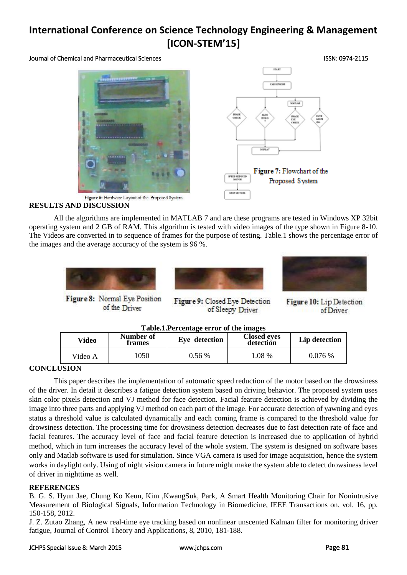Journal of Chemical and Pharmaceutical Sciences ISSN: 0974-2115





## **RESULTS AND DISCUSSION**

All the algorithms are implemented in MATLAB 7 and are these programs are tested in Windows XP 32bit operating system and 2 GB of RAM. This algorithm is tested with video images of the type shown in Figure 8-10. The Videos are converted in to sequence of frames for the purpose of testing. Table.1 shows the percentage error of the images and the average accuracy of the system is 96 %.



Figure 8: Normal Eve Position of the Driver



Figure 9: Closed Eye Detection of Sleepy Driver



Figure 10: Lip Detection of Driver

| Table.1. Percentage error of the images |  |  |
|-----------------------------------------|--|--|
|                                         |  |  |

| Video   | <b>Lavie.I.I electriage effort of the mages</b><br>Number of<br><b>Closed eyes</b><br>Eye detection<br>detection<br>frames |          | Lip detection |        |
|---------|----------------------------------------------------------------------------------------------------------------------------|----------|---------------|--------|
| Video A | 1050                                                                                                                       | $0.56\%$ | 1.08 %        | 0.076% |

## **CONCLUSION**

This paper describes the implementation of automatic speed reduction of the motor based on the drowsiness of the driver. In detail it describes a fatigue detection system based on driving behavior. The proposed system uses skin color pixels detection and VJ method for face detection. Facial feature detection is achieved by dividing the image into three parts and applying VJ method on each part of the image. For accurate detection of yawning and eyes status a threshold value is calculated dynamically and each coming frame is compared to the threshold value for drowsiness detection. The processing time for drowsiness detection decreases due to fast detection rate of face and facial features. The accuracy level of face and facial feature detection is increased due to application of hybrid method, which in turn increases the accuracy level of the whole system. The system is designed on software bases only and Matlab software is used for simulation. Since VGA camera is used for image acquisition, hence the system works in daylight only. Using of night vision camera in future might make the system able to detect drowsiness level of driver in nighttime as well.

## **REFERENCES**

B. G. S. Hyun Jae, Chung Ko Keun, Kim ,KwangSuk, Park, A Smart Health Monitoring Chair for Nonintrusive Measurement of Biological Signals, Information Technology in Biomedicine, IEEE Transactions on, vol. 16, pp. 150-158, 2012.

J. Z. Zutao Zhang, A new real-time eye tracking based on nonlinear unscented Kalman filter for monitoring driver fatigue, Journal of Control Theory and Applications, 8, 2010, 181-188.